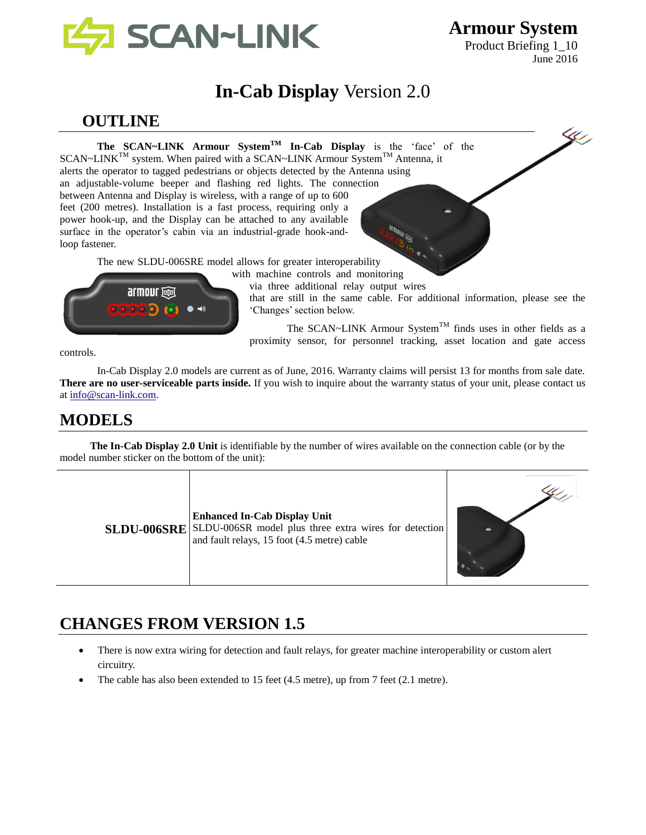

Product Briefing 1\_10 June 2016

K.

# **In-Cab Display** Version 2.0

## **OUTLINE**

**The SCAN~LINK Armour SystemTM In-Cab Display** is the 'face' of the  $SCAN \sim LINK^{TM}$  system. When paired with a SCAN $\sim$ LINK Armour System<sup>TM</sup> Antenna, it alerts the operator to tagged pedestrians or objects detected by the Antenna using an adjustable-volume beeper and flashing red lights. The connection between Antenna and Display is wireless, with a range of up to 600 feet (200 metres). Installation is a fast process, requiring only a power hook-up, and the Display can be attached to any available surface in the operator's cabin via an industrial-grade hook-andloop fastener.

The new SLDU-006SRE model allows for greater interoperability

with machine controls and monitoring



via three additional relay output wires that are still in the same cable. For additional information, please see the 'Changes' section below.

The SCAN~LINK Armour System<sup>TM</sup> finds uses in other fields as a proximity sensor, for personnel tracking, asset location and gate access

controls.

In-Cab Display 2.0 models are current as of June, 2016. Warranty claims will persist 13 for months from sale date. **There are no user-serviceable parts inside.** If you wish to inquire about the warranty status of your unit, please contact us at [info@scan-link.com.](mailto:info@scan-link.com)

## **MODELS**

**The In-Cab Display 2.0 Unit** is identifiable by the number of wires available on the connection cable (or by the model number sticker on the bottom of the unit):

|  | <b>Enhanced In-Cab Display Unit</b><br>SLDU-006SRE SLDU-006SR model plus three extra wires for detection<br>and fault relays, 15 foot (4.5 metre) cable |  |
|--|---------------------------------------------------------------------------------------------------------------------------------------------------------|--|
|--|---------------------------------------------------------------------------------------------------------------------------------------------------------|--|

# **CHANGES FROM VERSION 1.5**

- There is now extra wiring for detection and fault relays, for greater machine interoperability or custom alert circuitry.
- The cable has also been extended to 15 feet (4.5 metre), up from 7 feet (2.1 metre).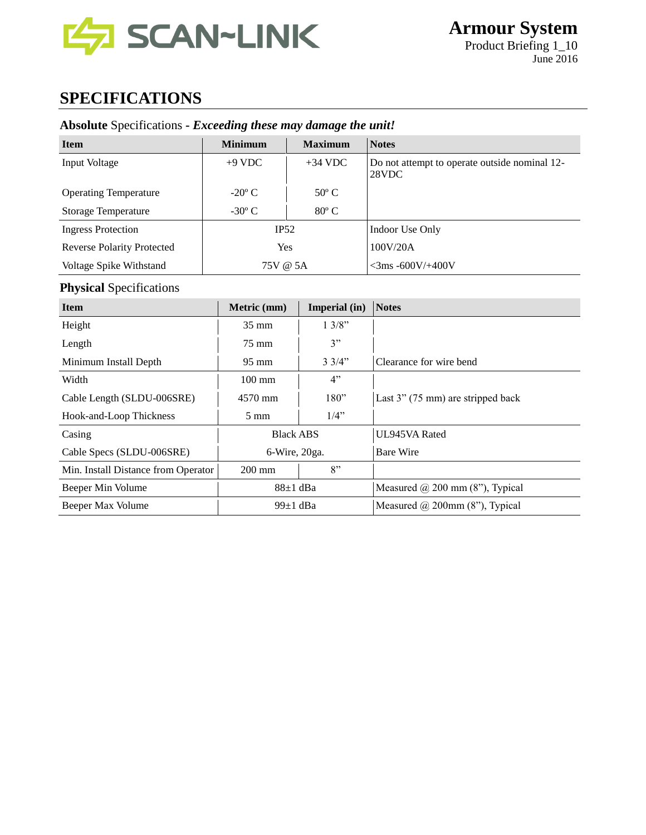

# **SPECIFICATIONS**

## **Absolute** Specifications **-** *Exceeding these may damage the unit!*

| <b>Item</b>                       | <b>Minimum</b>  | <b>Maximum</b> | <b>Notes</b>                                           |
|-----------------------------------|-----------------|----------------|--------------------------------------------------------|
| Input Voltage                     | $+9$ VDC        | $+34$ VDC      | Do not attempt to operate outside nominal 12-<br>28VDC |
| <b>Operating Temperature</b>      | $-20^{\circ}$ C | $50^{\circ}$ C |                                                        |
| <b>Storage Temperature</b>        | $-30^{\circ}$ C | $80^{\circ}$ C |                                                        |
| <b>Ingress Protection</b>         | IP52            |                | Indoor Use Only                                        |
| <b>Reverse Polarity Protected</b> | Yes             |                | 100V/20A                                               |
| Voltage Spike Withstand           | 75V @ 5A        |                | $<$ 3ms -600V/+400V                                    |

### **Physical** Specifications

| <b>Item</b>                         | Metric (mm)      | Imperial (in)   | <b>Notes</b>                           |
|-------------------------------------|------------------|-----------------|----------------------------------------|
| Height                              | $35 \text{ mm}$  | 1.3/8"          |                                        |
| Length                              | 75 mm            | 3"              |                                        |
| Minimum Install Depth               | $95 \text{ mm}$  | $3 \frac{3}{4}$ | Clearance for wire bend                |
| Width                               | $100 \text{ mm}$ | 4"              |                                        |
| Cable Length (SLDU-006SRE)          | $4570$ mm        | 180"            | Last $3$ " (75 mm) are stripped back   |
| Hook-and-Loop Thickness             | $5 \text{ mm}$   | $1/4$ "         |                                        |
| Casing                              | <b>Black ABS</b> |                 | UL945VA Rated                          |
| Cable Specs (SLDU-006SRE)           | $6$ -Wire, 20ga. |                 | <b>Bare Wire</b>                       |
| Min. Install Distance from Operator | $200 \text{ mm}$ | 8"              |                                        |
| Beeper Min Volume                   | $88\pm1$ dBa     |                 | Measured $\omega$ 200 mm (8"), Typical |
| Beeper Max Volume                   | 99 $\pm$ 1 dBa   |                 | Measured $\omega$ 200mm (8"), Typical  |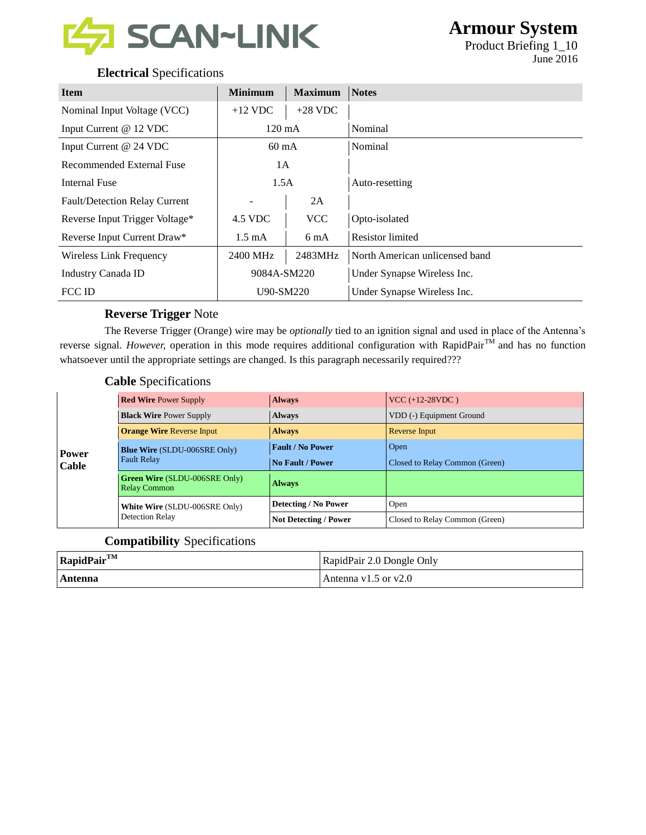

Product Briefing 1\_10 June 2016

### **Electrical** Specifications

| <b>Item</b>                          | <b>Minimum</b>   | <b>Maximum</b> | <b>Notes</b>                   |
|--------------------------------------|------------------|----------------|--------------------------------|
| Nominal Input Voltage (VCC)          | $+12$ VDC        | $+28$ VDC      |                                |
| Input Current @ 12 VDC               | $120 \text{ mA}$ |                | Nominal                        |
| Input Current @ 24 VDC               | $60 \text{ mA}$  |                | Nominal                        |
| <b>Recommended External Fuse</b>     | 1A               |                |                                |
| <b>Internal Fuse</b>                 | 1.5A             |                | Auto-resetting                 |
| <b>Fault/Detection Relay Current</b> |                  | 2A             |                                |
| Reverse Input Trigger Voltage*       | 4.5 VDC          | <b>VCC</b>     | Opto-isolated                  |
| Reverse Input Current Draw*          | $1.5 \text{ mA}$ | 6 mA           | <b>Resistor</b> limited        |
| Wireless Link Frequency              | 2400 MHz         | 2483MHz        | North American unlicensed band |
| Industry Canada ID                   | 9084A-SM220      |                | Under Synapse Wireless Inc.    |
| FCC ID                               | U90-SM220        |                | Under Synapse Wireless Inc.    |

#### **Reverse Trigger** Note

The Reverse Trigger (Orange) wire may be *optionally* tied to an ignition signal and used in place of the Antenna's reverse signal. *However*, operation in this mode requires additional configuration with RapidPair<sup>TM</sup> and has no function whatsoever until the appropriate settings are changed. Is this paragraph necessarily required???

#### **Cable** Specifications

| Power<br>Cable | <b>Red Wire Power Supply</b>                                | <b>Always</b>                | $VCC (+12-28VDC)$              |
|----------------|-------------------------------------------------------------|------------------------------|--------------------------------|
|                | <b>Black Wire Power Supply</b>                              | <b>Always</b>                | VDD (-) Equipment Ground       |
|                | <b>Orange Wire Reverse Input</b>                            | <b>Always</b>                | Reverse Input                  |
|                | <b>Blue Wire (SLDU-006SRE Only)</b><br><b>Fault Relay</b>   | <b>Fault / No Power</b>      | Open                           |
|                |                                                             | <b>No Fault / Power</b>      | Closed to Relay Common (Green) |
|                | <b>Green Wire (SLDU-006SRE Only)</b><br><b>Relay Common</b> | <b>Always</b>                |                                |
|                | White Wire (SLDU-006SRE Only)<br>Detection Relay            | Detecting / No Power         | Open                           |
|                |                                                             | <b>Not Detecting / Power</b> | Closed to Relay Common (Green) |

#### **Compatibility** Specifications

| $RapidPair^{TM}$ | RapidPair 2.0 Dongle Only |
|------------------|---------------------------|
| Antenna          | Antenna $v1.5$ or $v2.0$  |